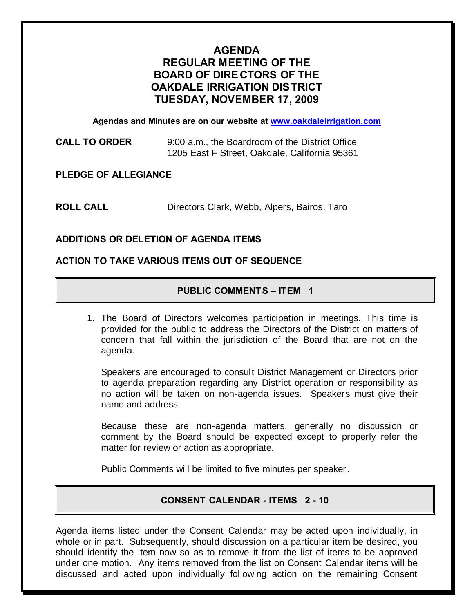# **AGENDA REGULAR MEETING OF THE BOARD OF DIRE CTORS OF THE OAKDALE IRRIGATION DIS TRICT TUESDAY, NOVEMBER 17, 2009**

**Agendas and Minutes are on our website at www.oakdaleirrigation.com**

**CALL TO ORDER** 9:00 a.m., the Boardroom of the District Office 1205 East F Street, Oakdale, California 95361

**PLEDGE OF ALLEGIANCE**

**ROLL CALL** Directors Clark, Webb, Alpers, Bairos, Taro

## **ADDITIONS OR DELETION OF AGENDA ITEMS**

## **ACTION TO TAKE VARIOUS ITEMS OUT OF SEQUENCE**

## **PUBLIC COMMENTS – ITEM 1**

1. The Board of Directors welcomes participation in meetings. This time is provided for the public to address the Directors of the District on matters of concern that fall within the jurisdiction of the Board that are not on the agenda.

Speakers are encouraged to consult District Management or Directors prior to agenda preparation regarding any District operation or responsibility as no action will be taken on non-agenda issues. Speakers must give their name and address.

Because these are non-agenda matters, generally no discussion or comment by the Board should be expected except to properly refer the matter for review or action as appropriate.

Public Comments will be limited to five minutes per speaker.

## **CONSENT CALENDAR - ITEMS 2 - 10**

Agenda items listed under the Consent Calendar may be acted upon individually, in whole or in part. Subsequently, should discussion on a particular item be desired, you should identify the item now so as to remove it from the list of items to be approved under one motion. Any items removed from the list on Consent Calendar items will be discussed and acted upon individually following action on the remaining Consent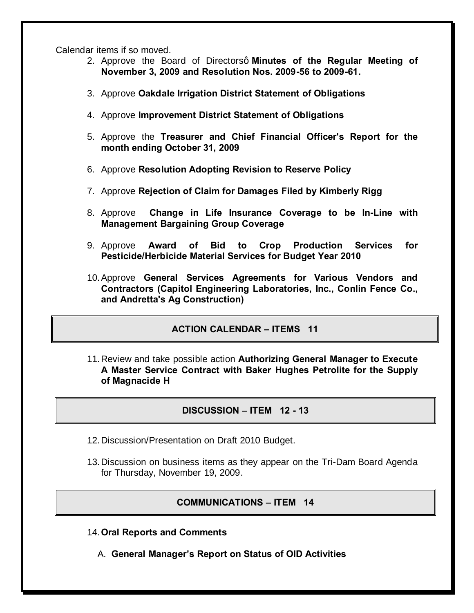Calendar items if so moved.

- 2. Approve the Board of Directorsq Minutes of the Regular Meeting of **November 3, 2009 and Resolution Nos. 2009-56 to 2009-61.**
- 3. Approve **Oakdale Irrigation District Statement of Obligations**
- 4. Approve **Improvement District Statement of Obligations**
- 5. Approve the **Treasurer and Chief Financial Officer's Report for the month ending October 31, 2009**
- 6. Approve **Resolution Adopting Revision to Reserve Policy**
- 7. Approve **Rejection of Claim for Damages Filed by Kimberly Rigg**
- 8. Approve **Change in Life Insurance Coverage to be In-Line with Management Bargaining Group Coverage**
- 9. Approve **Award of Bid to Crop Production Services for Pesticide/Herbicide Material Services for Budget Year 2010**
- 10.Approve **General Services Agreements for Various Vendors and Contractors (Capitol Engineering Laboratories, Inc., Conlin Fence Co., and Andretta's Ag Construction)**

## **ACTION CALENDAR – ITEMS 11**

11.Review and take possible action **Authorizing General Manager to Execute A Master Service Contract with Baker Hughes Petrolite for the Supply of Magnacide H**

## **DISCUSSION – ITEM 12 - 13**

- 12.Discussion/Presentation on Draft 2010 Budget.
- 13.Discussion on business items as they appear on the Tri-Dam Board Agenda for Thursday, November 19, 2009.

#### **COMMUNICATIONS – ITEM 14**

- 14.**Oral Reports and Comments**
	- A. **General Manager's Report on Status of OID Activities**